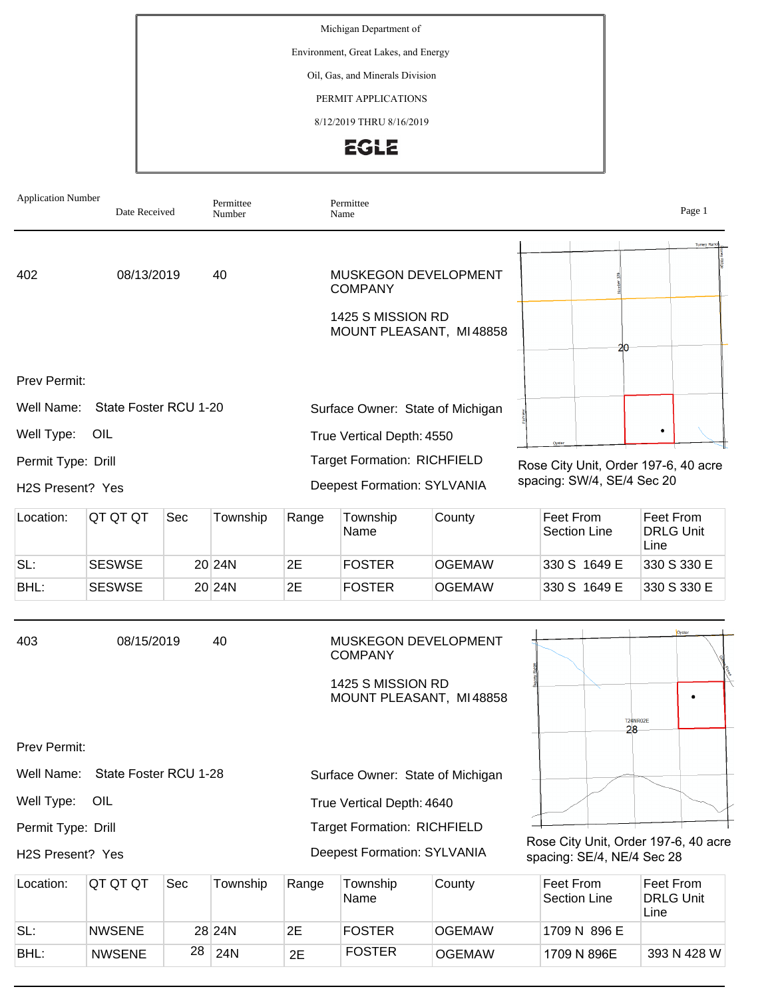Michigan Department of

Environment, Great Lakes, and Energy

Oil, Gas, and Minerals Division

PERMIT APPLICATIONS

8/12/2019 THRU 8/16/2019



| <b>Application Number</b> | Date Received         |     | Permittee<br>Number |                                    | Permittee<br>Name                                                  |                         |                                      |                                                                    |                                       | Page 1             |
|---------------------------|-----------------------|-----|---------------------|------------------------------------|--------------------------------------------------------------------|-------------------------|--------------------------------------|--------------------------------------------------------------------|---------------------------------------|--------------------|
| 402                       | 08/13/2019            |     | 40                  |                                    | <b>MUSKEGON DEVELOPMENT</b><br><b>COMPANY</b>                      |                         |                                      |                                                                    |                                       | <b>Turney Ranc</b> |
|                           |                       |     |                     |                                    | 1425 S MISSION RD                                                  | MOUNT PLEASANT, MI48858 |                                      | 20                                                                 |                                       |                    |
| Prev Permit:              |                       |     |                     |                                    |                                                                    |                         |                                      |                                                                    |                                       |                    |
| Well Name:                | State Foster RCU 1-20 |     |                     |                                    | Surface Owner: State of Michigan                                   |                         |                                      |                                                                    |                                       |                    |
| Well Type:                | OIL                   |     |                     | True Vertical Depth: 4550<br>Oyste |                                                                    |                         |                                      |                                                                    |                                       |                    |
| Permit Type: Drill        |                       |     |                     |                                    | <b>Target Formation: RICHFIELD</b>                                 |                         | Rose City Unit, Order 197-6, 40 acre |                                                                    |                                       |                    |
| H2S Present? Yes          |                       |     |                     |                                    | <b>Deepest Formation: SYLVANIA</b>                                 |                         |                                      | spacing: SW/4, SE/4 Sec 20                                         |                                       |                    |
| Location:                 | QT QT QT              | Sec | Township            | Range                              | Township<br>Name                                                   | County                  |                                      | Feet From<br><b>Section Line</b>                                   | Feet From<br><b>DRLG Unit</b><br>Line |                    |
| SL:                       | <b>SESWSE</b>         |     | 20 24N              | 2E                                 | <b>FOSTER</b>                                                      | <b>OGEMAW</b>           |                                      | 330 S 1649 E                                                       |                                       | 330 S 330 E        |
| BHL:                      | <b>SESWSE</b>         |     | 20 24N              | 2E                                 | <b>FOSTER</b>                                                      | <b>OGEMAW</b>           |                                      | 330 S 1649 E                                                       |                                       | 330 S 330 E        |
| 403                       | 08/15/2019            |     | 40                  |                                    | <b>MUSKEGON DEVELOPMENT</b><br><b>COMPANY</b><br>1425 S MISSION RD | MOUNT PLEASANT, MI48858 |                                      | 28                                                                 | <b>T24NR02E</b>                       |                    |
| Prev Permit:              |                       |     |                     |                                    |                                                                    |                         |                                      |                                                                    |                                       |                    |
| Well Name:                | State Foster RCU 1-28 |     |                     | Surface Owner: State of Michigan   |                                                                    |                         |                                      |                                                                    |                                       |                    |
| Well Type:<br>OIL         |                       |     |                     | True Vertical Depth: 4640          |                                                                    |                         |                                      |                                                                    |                                       |                    |
| Permit Type: Drill        |                       |     |                     |                                    | <b>Target Formation: RICHFIELD</b>                                 |                         |                                      |                                                                    |                                       |                    |
| H2S Present? Yes          |                       |     |                     |                                    | <b>Deepest Formation: SYLVANIA</b>                                 |                         |                                      | Rose City Unit, Order 197-6, 40 acre<br>spacing: SE/4, NE/4 Sec 28 |                                       |                    |
| Location:                 | QT QT QT              | Sec | Township            | Range                              | Township<br>Name                                                   | County                  |                                      | Feet From<br>Section Line                                          | Feet From<br><b>DRLG Unit</b><br>Line |                    |
| SL:                       | <b>NWSENE</b>         |     | 28 24N              | 2E                                 | <b>FOSTER</b>                                                      | <b>OGEMAW</b>           |                                      | 1709 N 896 E                                                       |                                       |                    |

BHL: NWSENE 28 24N 2E FOSTER OGEMAW 1709 N 896E

393 N 428 W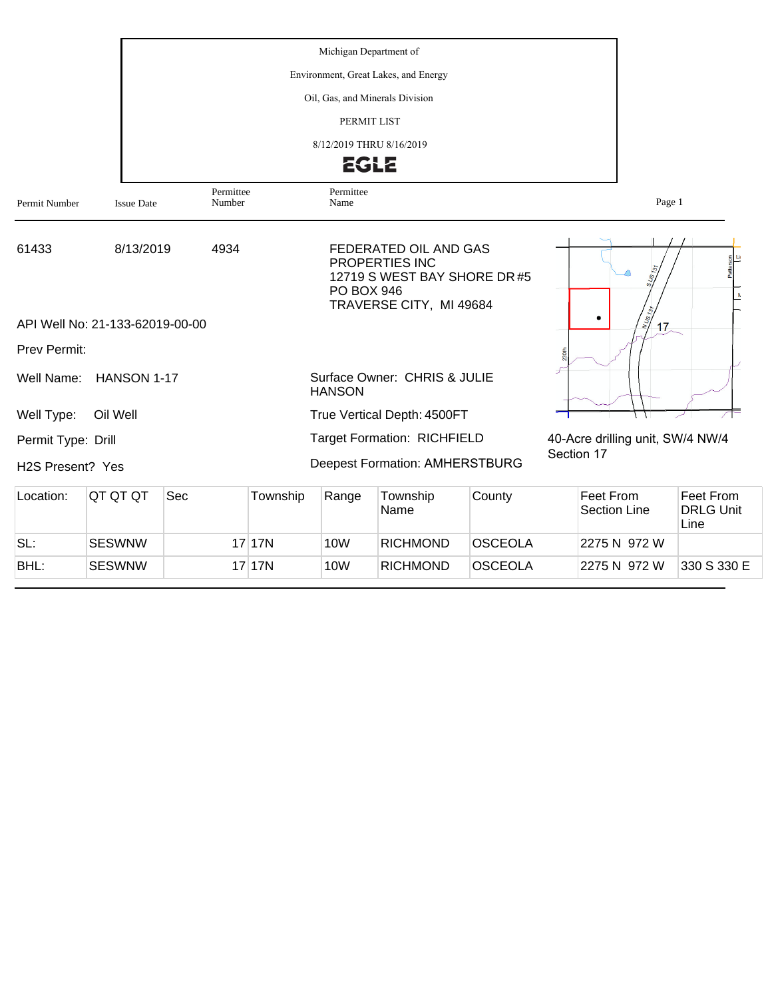|                               |                                 |                     |            | Michigan Department of |                                                                                                    |                |            |                                  |                                       |
|-------------------------------|---------------------------------|---------------------|------------|------------------------|----------------------------------------------------------------------------------------------------|----------------|------------|----------------------------------|---------------------------------------|
|                               |                                 |                     |            |                        |                                                                                                    |                |            |                                  |                                       |
|                               |                                 |                     |            |                        | Oil, Gas, and Minerals Division                                                                    |                |            |                                  |                                       |
|                               |                                 |                     |            |                        | PERMIT LIST                                                                                        |                |            |                                  |                                       |
|                               |                                 |                     |            |                        | 8/12/2019 THRU 8/16/2019                                                                           |                |            |                                  |                                       |
|                               |                                 |                     |            |                        | <b>EGLE</b>                                                                                        |                |            |                                  |                                       |
| Permit Number                 | <b>Issue Date</b>               | Permittee<br>Number |            | Permittee<br>Name      |                                                                                                    |                |            | Page 1                           |                                       |
| 61433                         | 8/13/2019                       | 4934                |            | <b>PO BOX 946</b>      | FEDERATED OIL AND GAS<br>PROPERTIES INC<br>12719 S WEST BAY SHORE DR #5<br>TRAVERSE CITY, MI 49684 |                |            | $\frac{1}{2}$                    |                                       |
|                               | API Well No: 21-133-62019-00-00 |                     |            |                        |                                                                                                    |                |            | 17 <sub>z</sub>                  |                                       |
| Prev Permit:                  |                                 |                     |            |                        |                                                                                                    |                |            |                                  |                                       |
| Well Name:                    | HANSON 1-17                     |                     |            | <b>HANSON</b>          | Surface Owner: CHRIS & JULIE                                                                       |                |            |                                  |                                       |
| Well Type:                    | Oil Well                        |                     |            |                        | True Vertical Depth: 4500FT                                                                        |                |            |                                  |                                       |
| Permit Type: Drill            |                                 |                     |            |                        | <b>Target Formation: RICHFIELD</b>                                                                 |                |            | 40-Acre drilling unit, SW/4 NW/4 |                                       |
| H <sub>2</sub> S Present? Yes |                                 |                     |            |                        | <b>Deepest Formation: AMHERSTBURG</b>                                                              |                | Section 17 |                                  |                                       |
| Location:                     | QT QT QT                        | Sec                 | Township   | Range                  | Township<br>Name                                                                                   | County         |            | Feet From<br><b>Section Line</b> | Feet From<br><b>DRLG Unit</b><br>Line |
| SL:                           | <b>SESWNW</b>                   |                     | $17$   17N | <b>10W</b>             | <b>RICHMOND</b>                                                                                    | <b>OSCEOLA</b> |            | 2275 N 972 W                     |                                       |
| BHL:                          | <b>SESWNW</b>                   |                     | 17 17N     | <b>10W</b>             | <b>RICHMOND</b>                                                                                    | <b>OSCEOLA</b> |            | 2275 N 972 W                     | 330 S 330 E                           |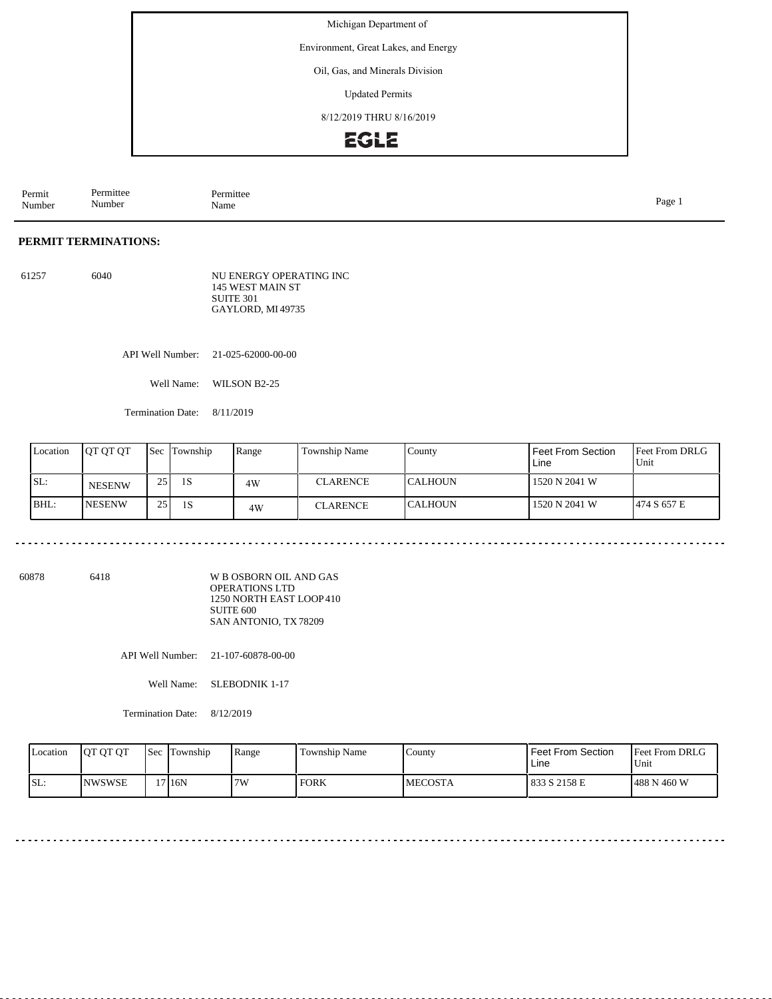Michigan Department of

Environment, Great Lakes, and Energy

Oil, Gas, and Minerals Division

Updated Permits

8/12/2019 THRU 8/16/2019



Permit Number Permittee Number Permittee<br>Name Name Page 1

## **PERMIT TERMINATIONS:**

61257 6040 NU ENERGY OPERATING INC 145 WEST MAIN ST SUITE 301 GAYLORD, MI 49735

API Well Number: 21-025-62000-00-00

Well Name: WILSON B2-25

Termination Date: 8/11/2019

| Location | <b>JOT OT OT</b> | <b>Sec</b> | Township | Range | <b>Township Name</b> | County          | Feet From Section<br>Line | <b>Feet From DRLG</b><br>Unit |
|----------|------------------|------------|----------|-------|----------------------|-----------------|---------------------------|-------------------------------|
| SL:      | <b>NESENW</b>    | 25         | 1S       | 4W    | <b>CLARENCE</b>      | <b>ICALHOUN</b> | 1520 N 2041 W             |                               |
| BHL:     | <b>INESENW</b>   | 25         | 1S       | 4W    | CLARENCE             | <b>ICALHOUN</b> | 1520 N 2041 W             | 1474 S 657 E                  |

60878 6418

W B OSBORN OIL AND GAS OPERATIONS LTD 1250 NORTH EAST LOOP 410 SUITE 600 SAN ANTONIO, TX 78209

API Well Number: 21-107-60878-00-00

Well Name: SLEBODNIK 1-17

Termination Date: 8/12/2019

| Location | <b>OT OT OT</b> | Sec | Township           | Range | Township Name | County         | <b>Feet From Section</b><br>Line | <b>Feet From DRLG</b><br>Unit |
|----------|-----------------|-----|--------------------|-------|---------------|----------------|----------------------------------|-------------------------------|
| SL:      | <b>NWSWSE</b>   |     | 17 <sub>16</sub> N | 7W    | FORK          | <b>MECOSTA</b> | 1833 S 2158 E                    | 488 N 460 W                   |